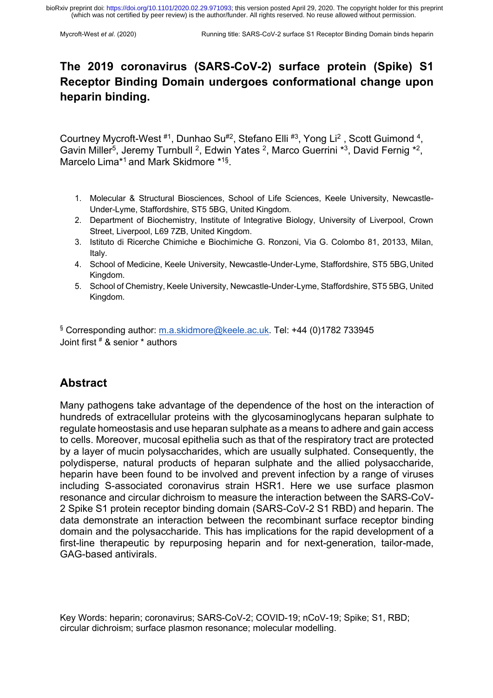# **The 2019 coronavirus (SARS-CoV-2) surface protein (Spike) S1 Receptor Binding Domain undergoes conformational change upon heparin binding.**

Courtney Mycroft-West #1, Dunhao Su#2, Stefano Elli #3, Yong Li<sup>2</sup>, Scott Guimond <sup>4</sup>, Gavin Miller<sup>5</sup>, Jeremy Turnbull <sup>2</sup>, Edwin Yates <sup>2</sup>, Marco Guerrini \*3, David Fernig \*2, Marcelo Lima\*1 and Mark Skidmore \*1§.

- 1. Molecular & Structural Biosciences, School of Life Sciences, Keele University, Newcastle-Under-Lyme, Staffordshire, ST5 5BG, United Kingdom.
- 2. Department of Biochemistry, Institute of Integrative Biology, University of Liverpool, Crown Street, Liverpool, L69 7ZB, United Kingdom.
- 3. Istituto di Ricerche Chimiche e Biochimiche G. Ronzoni, Via G. Colombo 81, 20133, Milan, Italy.
- 4. School of Medicine, Keele University, Newcastle-Under-Lyme, Staffordshire, ST5 5BG,United Kingdom.
- 5. School of Chemistry, Keele University, Newcastle-Under-Lyme, Staffordshire, ST5 5BG, United Kingdom.

§ Corresponding author: m.a.skidmore@keele.ac.uk. Tel: +44 (0)1782 733945 Joint first # & senior \* authors

# **Abstract**

Many pathogens take advantage of the dependence of the host on the interaction of hundreds of extracellular proteins with the glycosaminoglycans heparan sulphate to regulate homeostasis and use heparan sulphate as a means to adhere and gain access to cells. Moreover, mucosal epithelia such as that of the respiratory tract are protected by a layer of mucin polysaccharides, which are usually sulphated. Consequently, the polydisperse, natural products of heparan sulphate and the allied polysaccharide, heparin have been found to be involved and prevent infection by a range of viruses including S-associated coronavirus strain HSR1. Here we use surface plasmon resonance and circular dichroism to measure the interaction between the SARS-CoV-2 Spike S1 protein receptor binding domain (SARS-CoV-2 S1 RBD) and heparin. The data demonstrate an interaction between the recombinant surface receptor binding domain and the polysaccharide. This has implications for the rapid development of a first-line therapeutic by repurposing heparin and for next-generation, tailor-made, GAG-based antivirals.

Key Words: heparin; coronavirus; SARS-CoV-2; COVID-19; nCoV-19; Spike; S1, RBD; circular dichroism; surface plasmon resonance; molecular modelling.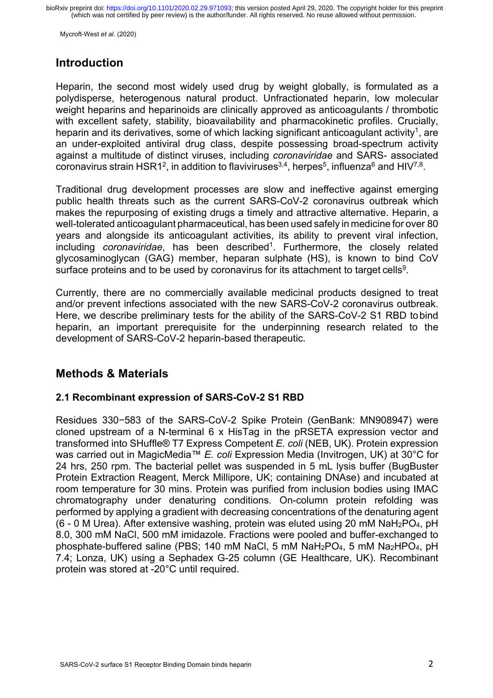Mycroft-West *et al*. (2020)

### **Introduction**

Heparin, the second most widely used drug by weight globally, is formulated as a polydisperse, heterogenous natural product. Unfractionated heparin, low molecular weight heparins and heparinoids are clinically approved as anticoagulants / thrombotic with excellent safety, stability, bioavailability and pharmacokinetic profiles. Crucially, heparin and its derivatives, some of which lacking significant anticoagulant activity<sup>1</sup>, are an under-exploited antiviral drug class, despite possessing broad-spectrum activity against a multitude of distinct viruses, including *coronaviridae* and SARS- associated coronavirus strain HSR1<sup>2</sup>, in addition to flaviviruses<sup>3,4</sup>, herpes<sup>5</sup>, influenza<sup>6</sup> and HIV<sup>7,8</sup>.

Traditional drug development processes are slow and ineffective against emerging public health threats such as the current SARS-CoV-2 coronavirus outbreak which makes the repurposing of existing drugs a timely and attractive alternative. Heparin, a well-tolerated anticoagulant pharmaceutical, has been used safely in medicine for over 80 years and alongside its anticoagulant activities, its ability to prevent viral infection, including *coronaviridae*, has been described<sup>1</sup>. Furthermore, the closely related glycosaminoglycan (GAG) member, heparan sulphate (HS), is known to bind CoV surface proteins and to be used by coronavirus for its attachment to target cells<sup>9</sup>.

Currently, there are no commercially available medicinal products designed to treat and/or prevent infections associated with the new SARS-CoV-2 coronavirus outbreak. Here, we describe preliminary tests for the ability of the SARS-CoV-2 S1 RBD tobind heparin, an important prerequisite for the underpinning research related to the development of SARS-CoV-2 heparin-based therapeutic.

# **Methods & Materials**

### **2.1 Recombinant expression of SARS-CoV-2 S1 RBD**

Residues 330−583 of the SARS-CoV-2 Spike Protein (GenBank: MN908947) were cloned upstream of a N-terminal 6 x HisTag in the pRSETA expression vector and transformed into SHuffle® T7 Express Competent *E. coli* (NEB, UK). Protein expression was carried out in MagicMedia™ *E. coli* Expression Media (Invitrogen, UK) at 30°C for 24 hrs, 250 rpm. The bacterial pellet was suspended in 5 mL lysis buffer (BugBuster Protein Extraction Reagent, Merck Millipore, UK; containing DNAse) and incubated at room temperature for 30 mins. Protein was purified from inclusion bodies using IMAC chromatography under denaturing conditions. On-column protein refolding was performed by applying a gradient with decreasing concentrations of the denaturing agent (6 - 0 M Urea). After extensive washing, protein was eluted using 20 mM  $NaH<sub>2</sub>PO<sub>4</sub>$ , pH 8.0, 300 mM NaCl, 500 mM imidazole. Fractions were pooled and buffer-exchanged to phosphate-buffered saline (PBS; 140 mM NaCl, 5 mM NaH<sub>2</sub>PO<sub>4</sub>, 5 mM Na<sub>2</sub>HPO<sub>4</sub>, pH 7.4; Lonza, UK) using a Sephadex G-25 column (GE Healthcare, UK). Recombinant protein was stored at -20°C until required.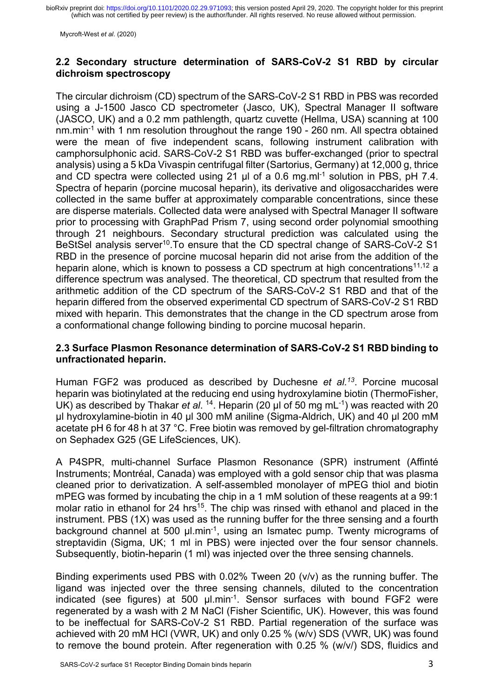(which was not certified by peer review) is the author/funder. All rights reserved. No reuse allowed without permission. bioRxiv preprint doi: [https://doi.org/10.1101/2020.02.29.971093;](https://doi.org/10.1101/2020.02.29.971093) this version posted April 29, 2020. The copyright holder for this preprint

Mycroft-West *et al*. (2020)

#### **2.2 Secondary structure determination of SARS-CoV-2 S1 RBD by circular dichroism spectroscopy**

The circular dichroism (CD) spectrum of the SARS-CoV-2 S1 RBD in PBS was recorded using a J-1500 Jasco CD spectrometer (Jasco, UK), Spectral Manager II software (JASCO, UK) and a 0.2 mm pathlength, quartz cuvette (Hellma, USA) scanning at 100 nm.min-1 with 1 nm resolution throughout the range 190 - 260 nm. All spectra obtained were the mean of five independent scans, following instrument calibration with camphorsulphonic acid. SARS-CoV-2 S1 RBD was buffer-exchanged (prior to spectral analysis) using a 5 kDa Vivaspin centrifugal filter (Sartorius, Germany) at 12,000 g, thrice and CD spectra were collected using 21 μl of a 0.6 mg.ml-1 solution in PBS, pH 7.4. Spectra of heparin (porcine mucosal heparin), its derivative and oligosaccharides were collected in the same buffer at approximately comparable concentrations, since these are disperse materials. Collected data were analysed with Spectral Manager II software prior to processing with GraphPad Prism 7, using second order polynomial smoothing through 21 neighbours. Secondary structural prediction was calculated using the BeStSel analysis server<sup>10</sup>. To ensure that the CD spectral change of SARS-CoV-2 S1 RBD in the presence of porcine mucosal heparin did not arise from the addition of the heparin alone, which is known to possess a CD spectrum at high concentrations<sup>11,12</sup> a difference spectrum was analysed. The theoretical, CD spectrum that resulted from the arithmetic addition of the CD spectrum of the SARS-CoV-2 S1 RBD and that of the heparin differed from the observed experimental CD spectrum of SARS-CoV-2 S1 RBD mixed with heparin. This demonstrates that the change in the CD spectrum arose from a conformational change following binding to porcine mucosal heparin.

#### **2.3 Surface Plasmon Resonance determination of SARS-CoV-2 S1 RBD binding to unfractionated heparin.**

Human FGF2 was produced as described by Duchesne *et al.13*. Porcine mucosal heparin was biotinylated at the reducing end using hydroxylamine biotin (ThermoFisher, UK) as described by Thakar *et al.* <sup>14</sup>. Heparin (20 µl of 50 mg mL<sup>-1</sup>) was reacted with 20 µl hydroxylamine-biotin in 40 µl 300 mM aniline (Sigma-Aldrich, UK) and 40 µl 200 mM acetate pH 6 for 48 h at 37 °C. Free biotin was removed by gel-filtration chromatography on Sephadex G25 (GE LifeSciences, UK).

A P4SPR, multi-channel Surface Plasmon Resonance (SPR) instrument (Affinté Instruments; Montréal, Canada) was employed with a gold sensor chip that was plasma cleaned prior to derivatization. A self-assembled monolayer of mPEG thiol and biotin mPEG was formed by incubating the chip in a 1 mM solution of these reagents at a 99:1 molar ratio in ethanol for 24 hrs<sup>15</sup>. The chip was rinsed with ethanol and placed in the instrument. PBS (1X) was used as the running buffer for the three sensing and a fourth background channel at 500 µl.min<sup>-1</sup>, using an Ismatec pump. Twenty micrograms of streptavidin (Sigma, UK; 1 ml in PBS) were injected over the four sensor channels. Subsequently, biotin-heparin (1 ml) was injected over the three sensing channels.

Binding experiments used PBS with 0.02% Tween 20 (v/v) as the running buffer. The ligand was injected over the three sensing channels, diluted to the concentration indicated (see figures) at 500  $\mu$ l.min<sup>-1</sup>. Sensor surfaces with bound FGF2 were regenerated by a wash with 2 M NaCl (Fisher Scientific, UK). However, this was found to be ineffectual for SARS-CoV-2 S1 RBD. Partial regeneration of the surface was achieved with 20 mM HCl (VWR, UK) and only 0.25 % (w/v) SDS (VWR, UK) was found to remove the bound protein. After regeneration with 0.25 % (w/v/) SDS, fluidics and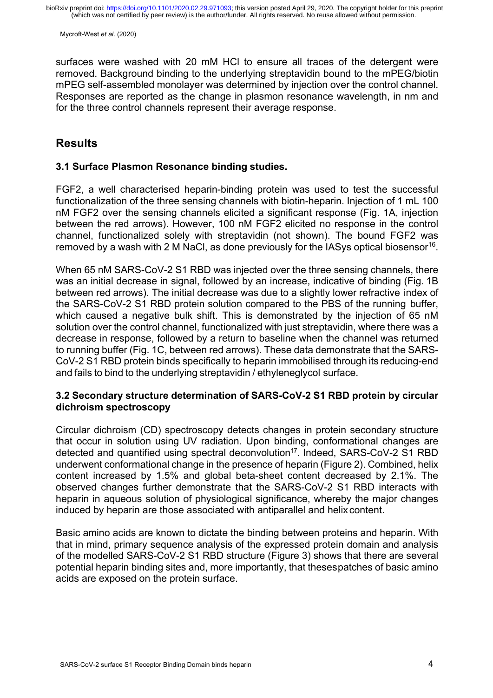surfaces were washed with 20 mM HCl to ensure all traces of the detergent were removed. Background binding to the underlying streptavidin bound to the mPEG/biotin mPEG self-assembled monolayer was determined by injection over the control channel. Responses are reported as the change in plasmon resonance wavelength, in nm and for the three control channels represent their average response.

### **Results**

#### **3.1 Surface Plasmon Resonance binding studies.**

FGF2, a well characterised heparin-binding protein was used to test the successful functionalization of the three sensing channels with biotin-heparin. Injection of 1 mL 100 nM FGF2 over the sensing channels elicited a significant response (Fig. 1A, injection between the red arrows). However, 100 nM FGF2 elicited no response in the control channel, functionalized solely with streptavidin (not shown). The bound FGF2 was removed by a wash with 2 M NaCl, as done previously for the IASys optical biosensor<sup>16</sup>.

When 65 nM SARS-CoV-2 S1 RBD was injected over the three sensing channels, there was an initial decrease in signal, followed by an increase, indicative of binding (Fig. 1B between red arrows). The initial decrease was due to a slightly lower refractive index of the SARS-CoV-2 S1 RBD protein solution compared to the PBS of the running buffer, which caused a negative bulk shift. This is demonstrated by the injection of 65 nM solution over the control channel, functionalized with just streptavidin, where there was a decrease in response, followed by a return to baseline when the channel was returned to running buffer (Fig. 1C, between red arrows). These data demonstrate that the SARS-CoV-2 S1 RBD protein binds specifically to heparin immobilised through its reducing-end and fails to bind to the underlying streptavidin / ethyleneglycol surface.

#### **3.2 Secondary structure determination of SARS-CoV-2 S1 RBD protein by circular dichroism spectroscopy**

Circular dichroism (CD) spectroscopy detects changes in protein secondary structure that occur in solution using UV radiation. Upon binding, conformational changes are detected and quantified using spectral deconvolution<sup>17</sup>. Indeed, SARS-CoV-2 S1 RBD underwent conformational change in the presence of heparin (Figure 2). Combined, helix content increased by 1.5% and global beta-sheet content decreased by 2.1%. The observed changes further demonstrate that the SARS-CoV-2 S1 RBD interacts with heparin in aqueous solution of physiological significance, whereby the major changes induced by heparin are those associated with antiparallel and helix content.

Basic amino acids are known to dictate the binding between proteins and heparin. With that in mind, primary sequence analysis of the expressed protein domain and analysis of the modelled SARS-CoV-2 S1 RBD structure (Figure 3) shows that there are several potential heparin binding sites and, more importantly, that thesespatches of basic amino acids are exposed on the protein surface.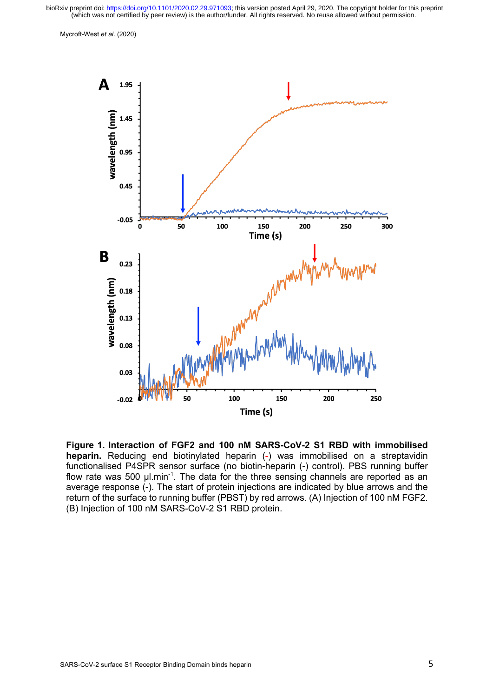(which was not certified by peer review) is the author/funder. All rights reserved. No reuse allowed without permission. bioRxiv preprint doi: [https://doi.org/10.1101/2020.02.29.971093;](https://doi.org/10.1101/2020.02.29.971093) this version posted April 29, 2020. The copyright holder for this preprint



**Figure 1. Interaction of FGF2 and 100 nM SARS-CoV-2 S1 RBD with immobilised heparin.** Reducing end biotinylated heparin (-) was immobilised on a streptavidin functionalised P4SPR sensor surface (no biotin-heparin (-) control). PBS running buffer flow rate was 500  $\mu$ l.min<sup>-1</sup>. The data for the three sensing channels are reported as an average response (-). The start of protein injections are indicated by blue arrows and the return of the surface to running buffer (PBST) by red arrows. (A) Injection of 100 nM FGF2. (B) Injection of 100 nM SARS-CoV-2 S1 RBD protein.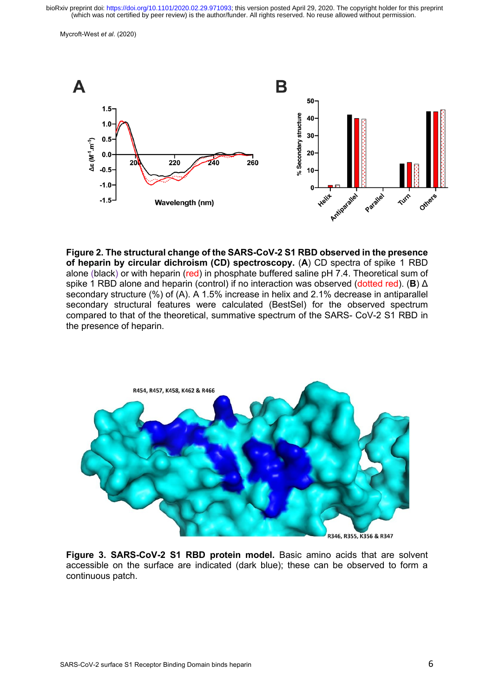(which was not certified by peer review) is the author/funder. All rights reserved. No reuse allowed without permission. bioRxiv preprint doi: [https://doi.org/10.1101/2020.02.29.971093;](https://doi.org/10.1101/2020.02.29.971093) this version posted April 29, 2020. The copyright holder for this preprint



**Figure 2. The structural change of the SARS-CoV-2 S1 RBD observed in the presence of heparin by circular dichroism (CD) spectroscopy.** (**A**) CD spectra of spike 1 RBD alone (black) or with heparin (red) in phosphate buffered saline pH 7.4. Theoretical sum of spike 1 RBD alone and heparin (control) if no interaction was observed (dotted red). (**B**) Δ secondary structure (%) of (A). A 1.5% increase in helix and 2.1% decrease in antiparallel secondary structural features were calculated (BestSel) for the observed spectrum compared to that of the theoretical, summative spectrum of the SARS- CoV-2 S1 RBD in the presence of heparin.



**Figure 3. SARS-CoV-2 S1 RBD protein model.** Basic amino acids that are solvent accessible on the surface are indicated (dark blue); these can be observed to form a continuous patch.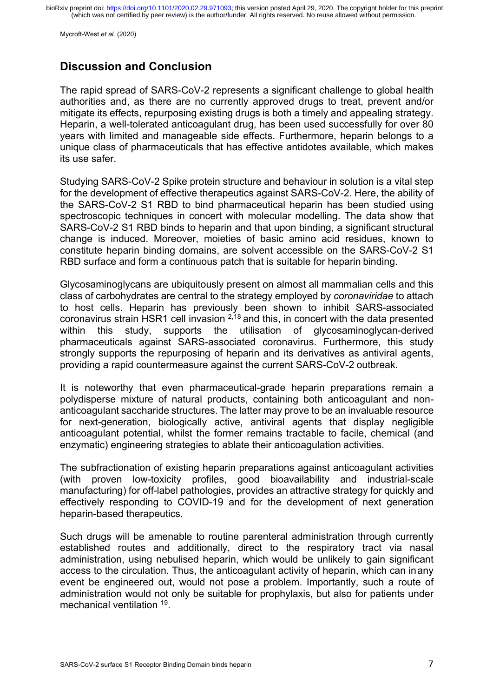Mycroft-West *et al*. (2020)

### **Discussion and Conclusion**

The rapid spread of SARS-CoV-2 represents a significant challenge to global health authorities and, as there are no currently approved drugs to treat, prevent and/or mitigate its effects, repurposing existing drugs is both a timely and appealing strategy. Heparin, a well-tolerated anticoagulant drug, has been used successfully for over 80 years with limited and manageable side effects. Furthermore, heparin belongs to a unique class of pharmaceuticals that has effective antidotes available, which makes its use safer.

Studying SARS-CoV-2 Spike protein structure and behaviour in solution is a vital step for the development of effective therapeutics against SARS-CoV-2. Here, the ability of the SARS-CoV-2 S1 RBD to bind pharmaceutical heparin has been studied using spectroscopic techniques in concert with molecular modelling. The data show that SARS-CoV-2 S1 RBD binds to heparin and that upon binding, a significant structural change is induced. Moreover, moieties of basic amino acid residues, known to constitute heparin binding domains, are solvent accessible on the SARS-CoV-2 S1 RBD surface and form a continuous patch that is suitable for heparin binding.

Glycosaminoglycans are ubiquitously present on almost all mammalian cells and this class of carbohydrates are central to the strategy employed by *coronaviridae* to attach to host cells. Heparin has previously been shown to inhibit SARS-associated coronavirus strain HSR1 cell invasion  $2,18$  and this, in concert with the data presented within this study, supports the utilisation of glycosaminoglycan-derived pharmaceuticals against SARS-associated coronavirus. Furthermore, this study strongly supports the repurposing of heparin and its derivatives as antiviral agents, providing a rapid countermeasure against the current SARS-CoV-2 outbreak.

It is noteworthy that even pharmaceutical-grade heparin preparations remain a polydisperse mixture of natural products, containing both anticoagulant and nonanticoagulant saccharide structures. The latter may prove to be an invaluable resource for next-generation, biologically active, antiviral agents that display negligible anticoagulant potential, whilst the former remains tractable to facile, chemical (and enzymatic) engineering strategies to ablate their anticoagulation activities.

The subfractionation of existing heparin preparations against anticoagulant activities (with proven low-toxicity profiles, good bioavailability and industrial-scale manufacturing) for off-label pathologies, provides an attractive strategy for quickly and effectively responding to COVID-19 and for the development of next generation heparin-based therapeutics.

Such drugs will be amenable to routine parenteral administration through currently established routes and additionally, direct to the respiratory tract via nasal administration, using nebulised heparin, which would be unlikely to gain significant access to the circulation. Thus, the anticoagulant activity of heparin, which can inany event be engineered out, would not pose a problem. Importantly, such a route of administration would not only be suitable for prophylaxis, but also for patients under mechanical ventilation 19.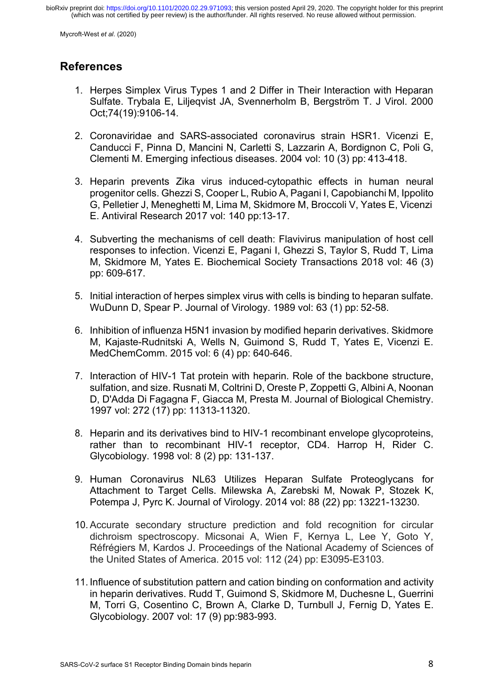Mycroft-West *et al*. (2020)

# **References**

- 1. Herpes Simplex Virus Types 1 and 2 Differ in Their Interaction with Heparan Sulfate. Trybala E, Liljeqvist JA, Svennerholm B, Bergström T. J Virol. 2000 Oct;74(19):9106-14.
- 2. Coronaviridae and SARS-associated coronavirus strain HSR1. Vicenzi E, Canducci F, Pinna D, Mancini N, Carletti S, Lazzarin A, Bordignon C, Poli G, Clementi M. Emerging infectious diseases. 2004 vol: 10 (3) pp: 413-418.
- 3. Heparin prevents Zika virus induced-cytopathic effects in human neural progenitor cells. Ghezzi S, Cooper L, Rubio A, Pagani I, Capobianchi M, Ippolito G, Pelletier J, Meneghetti M, Lima M, Skidmore M, Broccoli V, Yates E, Vicenzi E. Antiviral Research 2017 vol: 140 pp:13-17.
- 4. Subverting the mechanisms of cell death: Flavivirus manipulation of host cell responses to infection. Vicenzi E, Pagani I, Ghezzi S, Taylor S, Rudd T, Lima M, Skidmore M, Yates E. Biochemical Society Transactions 2018 vol: 46 (3) pp: 609-617.
- 5. Initial interaction of herpes simplex virus with cells is binding to heparan sulfate. WuDunn D, Spear P. Journal of Virology. 1989 vol: 63 (1) pp: 52-58.
- 6. Inhibition of influenza H5N1 invasion by modified heparin derivatives. Skidmore M, Kajaste-Rudnitski A, Wells N, Guimond S, Rudd T, Yates E, Vicenzi E. MedChemComm. 2015 vol: 6 (4) pp: 640-646.
- 7. Interaction of HIV-1 Tat protein with heparin. Role of the backbone structure, sulfation, and size. Rusnati M, Coltrini D, Oreste P, Zoppetti G, Albini A, Noonan D, D'Adda Di Fagagna F, Giacca M, Presta M. Journal of Biological Chemistry. 1997 vol: 272 (17) pp: 11313-11320.
- 8. Heparin and its derivatives bind to HIV-1 recombinant envelope glycoproteins, rather than to recombinant HIV-1 receptor, CD4. Harrop H, Rider C. Glycobiology. 1998 vol: 8 (2) pp: 131-137.
- 9. Human Coronavirus NL63 Utilizes Heparan Sulfate Proteoglycans for Attachment to Target Cells. Milewska A, Zarebski M, Nowak P, Stozek K, Potempa J, Pyrc K. Journal of Virology. 2014 vol: 88 (22) pp: 13221-13230.
- 10.Accurate secondary structure prediction and fold recognition for circular dichroism spectroscopy. Micsonai A, Wien F, Kernya L, Lee Y, Goto Y, Réfrégiers M, Kardos J. Proceedings of the National Academy of Sciences of the United States of America. 2015 vol: 112 (24) pp: E3095-E3103.
- 11. Influence of substitution pattern and cation binding on conformation and activity in heparin derivatives. Rudd T, Guimond S, Skidmore M, Duchesne L, Guerrini M, Torri G, Cosentino C, Brown A, Clarke D, Turnbull J, Fernig D, Yates E. Glycobiology. 2007 vol: 17 (9) pp:983-993.